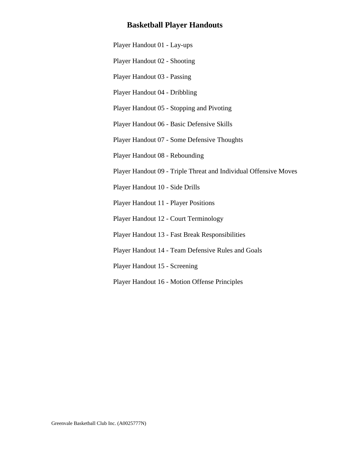## **Basketball Player Handouts**

[Player Handout 01 - Lay-ups](#page-1-0)

[Player Handout 02 - Shooting](#page-2-0)

[Player Handout 03 - Passing](#page-3-0)

[Player Handout 04 - Dribbling](#page-5-0)

[Player Handout 05 - Stopping and Pivoting](#page-6-0)

[Player Handout 06 - Basic Defensive Skills](#page-7-0)

[Player Handout 07 - Some Defensive Thoughts](#page-9-0)

[Player Handout 08 - Rebounding](#page-11-0)

[Player Handout 09 - Triple Threat and Individual Offensive Moves](#page-12-0)

[Player Handout 10 - Side Drills](#page-13-0)

[Player Handout 11 - Player Positions](#page-15-0)

[Player Handout 12 - Court Terminology](#page-16-0)

[Player Handout 13 - Fast Break Responsibilities](#page-17-0)

[Player Handout 14 - Team Defensive Rules and Goals](#page-18-0)

[Player Handout 15 - Screening](#page-19-0)

[Player Handout 16 - Motion Offense Principles](#page-21-0)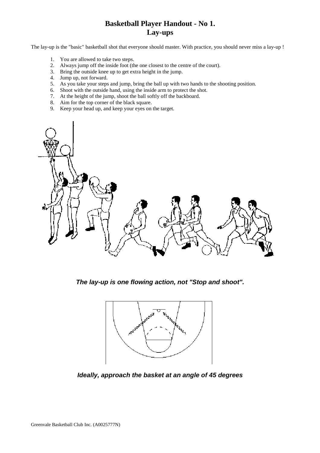# **Basketball Player Handout - No 1. Lay-ups**

<span id="page-1-0"></span>The lay-up is the "basic" basketball shot that everyone should master. With practice, you should never miss a lay-up !

- 1. You are allowed to take two steps.
- 2. Always jump off the inside foot (the one closest to the centre of the court).
- 3. Bring the outside knee up to get extra height in the jump.
- 4. Jump up, not forward.
- 5. As you take your steps and jump, bring the ball up with two hands to the shooting position.
- 6. Shoot with the outside hand, using the inside arm to protect the shot.
- 7. At the height of the jump, shoot the ball softly off the backboard.
- 8. Aim for the top corner of the black square.
- 9. Keep your head up, and keep your eyes on the target.



*The lay-up is one flowing action, not "Stop and shoot".*



*Ideally, approach the basket at an angle of 45 degrees*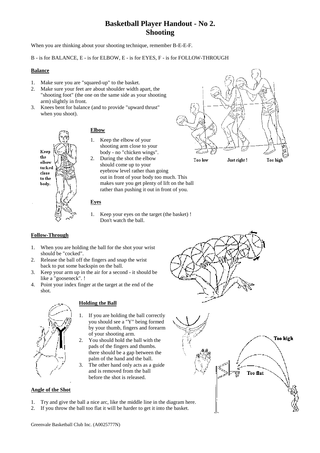# **Basketball Player Handout - No 2. Shooting**

<span id="page-2-0"></span>When you are thinking about your shooting technique, remember B-E-E-F.

#### B - is for BALANCE, E - is for ELBOW, E - is for EYES, F - is for FOLLOW-THROUGH

#### **Balance**

- 1. Make sure you are "squared-up" to the basket.
- 2. Make sure your feet are about shoulder width apart, the "shooting foot" (the one on the same side as your shooting arm) slightly in front.
- 3. Knees bent for balance (and to provide "upward thrust" when you shoot).



## **Elbow**

- 1. Keep the elbow of your shooting arm close to your body - no "chicken wings".
- 2. During the shot the elbow should come up to your eyebrow level rather than going out in front of your body too much. This makes sure you get plenty of lift on the ball rather than pushing it out in front of you.

## **Eyes**

1. Keep your eyes on the target (the basket) ! Don't watch the ball.

### **Follow-Through**

- 1. When you are holding the ball for the shot your wrist should be "cocked".
- 2. Release the ball off the fingers and snap the wrist back to put some backspin on the ball.
- 3. Keep your arm up in the air for a second it should be like a "gooseneck". !
- 4. Point your index finger at the target at the end of the shot.



### **Holding the Ball**

- 1. If you are holding the ball correctly you should see a "Y" being formed by your thumb, fingers and forearm of your shooting arm.
- 2. You should hold the ball with the pads of the fingers and thumbs. there should be a gap between the palm of the hand and the ball.
- 3. The other hand only acts as a guide and is removed from the ball before the shot is released.

## **Angle of the Shot**

- 1. Try and give the ball a nice arc, like the middle line in the diagram here.
- 2. If you throw the ball too flat it will be harder to get it into the basket.





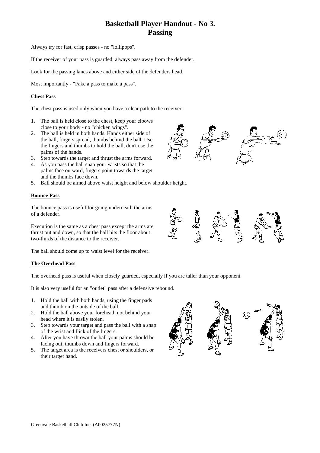# **Basketball Player Handout - No 3. Passing**

<span id="page-3-0"></span>Always try for fast, crisp passes - no "lollipops".

If the receiver of your pass is guarded, always pass away from the defender.

Look for the passing lanes above and either side of the defenders head.

Most importantly - "Fake a pass to make a pass".

## **Chest Pass**

The chest pass is used only when you have a clear path to the receiver.

- 1. The ball is held close to the chest, keep your elbows close to your body - no "chicken wings".
- 2. The ball is held in both hands. Hands either side of the ball, fingers spread, thumbs behind the ball. Use the fingers and thumbs to hold the ball, don't use the palms of the hands.
- 3. Step towards the target and thrust the arms forward.
- 4. As you pass the ball snap your wrists so that the palms face outward, fingers point towards the target and the thumbs face down.
- 5. Ball should be aimed above waist height and below shoulder height.

#### **Bounce Pass**

The bounce pass is useful for going underneath the arms of a defender.

Execution is the same as a chest pass except the arms are thrust out and down, so that the ball hits the floor about two-thirds of the distance to the receiver.

The ball should come up to waist level for the receiver.

#### **The Overhead Pass**

The overhead pass is useful when closely guarded, especially if you are taller than your opponent.

It is also very useful for an "outlet" pass after a defensive rebound.

- 1. Hold the ball with both hands, using the finger pads and thumb on the outside of the ball.
- 2. Hold the ball above your forehead, not behind your head where it is easily stolen.
- 3. Step towards your target and pass the ball with a snap of the wrist and flick of the fingers.
- 4. After you have thrown the ball your palms should be facing out, thumbs down and fingers forward.
- 5. The target area is the receivers chest or shoulders, or their target hand.



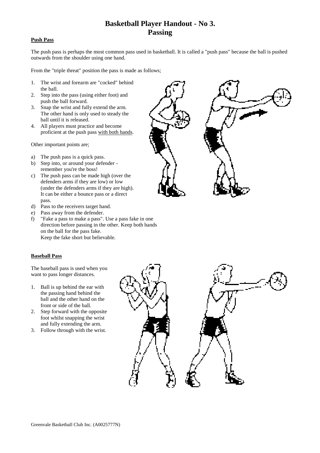# **Basketball Player Handout - No 3. Passing**

#### **Push Pass**

The push pass is perhaps the most common pass used in basketball. It is called a "push pass" because the ball is pushed outwards from the shoulder using one hand.

From the "triple threat" position the pass is made as follows;

- 1. The wrist and forearm are "cocked" behind the ball.
- 2. Step into the pass (using either foot) and push the ball forward.
- 3. Snap the wrist and fully extend the arm. The other hand is only used to steady the ball until it is released.
- 4. All players must practice and become proficient at the push pass with both hands.

Other important points are;

- a) The push pass is a quick pass.
- b) Step into, or around your defender remember you're the boss!
- c) The push pass can be made high (over the defenders arms if they are low) or low (under the defenders arms if they are high). It can be either a bounce pass or a direct pass.
- d) Pass to the receivers target hand.
- e) Pass away from the defender.
- f) "Fake a pass to make a pass". Use a pass fake in one direction before passing in the other. Keep both hands on the ball for the pass fake. Keep the fake short but believable.

### **Baseball Pass**

The baseball pass is used when you want to pass longer distances.

- 1. Ball is up behind the ear with the passing hand behind the ball and the other hand on the front or side of the ball.
- 2. Step forward with the opposite foot whilst snapping the wrist and fully extending the arm.
- 3. Follow through with the wrist.



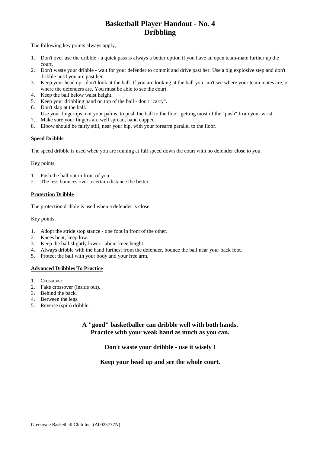# **Basketball Player Handout - No. 4 Dribbling**

<span id="page-5-0"></span>The following key points always apply,

- 1. Don't over use the dribble a quick pass is always a better option if you have an open team-mate further up the court.
- 2. Don't waste your dribble wait for your defender to commit and drive past her. Use a big explosive step and don't dribble until you are past her.
- 3. Keep your head up don't look at the ball. If you are looking at the ball you can't see where your team mates are, or where the defenders are. You must be able to see the court.
- 4. Keep the ball below waist height.
- 5. Keep your dribbling hand on top of the ball don't "carry".
- 6. Don't slap at the ball.
- Use your fingertips, not your palms, to push the ball to the floor, getting most of the "push" from your wrist.
- 7. Make sure your fingers are well spread, hand cupped.
- 8. Elbow should be fairly still, near your hip, with your forearm parallel to the floor.

### **Speed Dribble**

The speed dribble is used when you are running at full speed down the court with no defender close to you.

Key points,

- 1. Push the ball out in front of you.
- 2. The less bounces over a certain distance the better.

#### **Protection Dribble**

The protection dribble is used when a defender is close.

Key points,

- 1. Adopt the stride stop stance one foot in front of the other.
- 2. Knees bent, keep low.
- 3. Keep the ball slightly lower about knee height.
- 4. Always dribble with the hand furthest from the defender, bounce the ball near your back foot.
- 5. Protect the ball with your body and your free arm.

### **Advanced Dribbles To Practice**

- 1. Crossover
- 2. Fake crossover (inside out).
- 3. Behind the back.
- 4. Between the legs.
- 5. Reverse (spin) dribble.

## **A "good" basketballer can dribble well with both hands. Practice with your weak hand as much as you can.**

**Don't waste your dribble - use it wisely !**

## **Keep your head up and see the whole court.**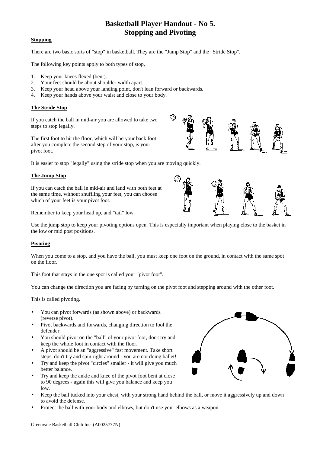# **Basketball Player Handout - No 5. Stopping and Pivoting**

### <span id="page-6-0"></span>**Stopping**

There are two basic sorts of "stop" in basketball. They are the "Jump Stop" and the "Stride Stop".

The following key points apply to both types of stop,

- 1. Keep your knees flexed (bent).
- 2. Your feet should be about shoulder width apart.
- 3. Keep your head above your landing point, don't lean forward or backwards.
- 4. Keep your hands above your waist and close to your body.

### **The Stride Stop**

If you catch the ball in mid-air you are allowed to take two steps to stop legally.

The first foot to hit the floor, which will be your back foot after you complete the second step of your stop, is your pivot foot.

It is easier to stop "legally" using the stride stop when you are moving quickly.

#### **The Jump Stop**

If you can catch the ball in mid-air and land with both feet at the same time, without shuffling your feet, you can choose which of your feet is your pivot foot.

Remember to keep your head up, and "tail" low.

Use the jump stop to keep your pivoting options open. This is especially important when playing close to the basket in the low or mid post positions.

### **Pivoting**

When you come to a stop, and you have the ball, you must keep one foot on the ground, in contact with the same spot on the floor.

This foot that stays in the one spot is called your "pivot foot".

You can change the direction you are facing by turning on the pivot foot and stepping around with the other foot.

This is called pivoting.

- You can pivot forwards (as shown above) or backwards (reverse pivot).
- Pivot backwards and forwards, changing direction to fool the defender.
- You should pivot on the "ball" of your pivot foot, don't try and keep the whole foot in contact with the floor.
- A pivot should be an "aggressive" fast movement. Take short steps, don't try and spin right around - you are not doing ballet!
- Try and keep the pivot "circles" smaller it will give you much better balance.
- Try and keep the ankle and knee of the pivot foot bent at close to 90 degrees - again this will give you balance and keep you low.
- Keep the ball tucked into your chest, with your strong hand behind the ball, or move it aggressively up and down to avoid the defense.
- Protect the ball with your body and elbows, but don't use your elbows as a weapon.



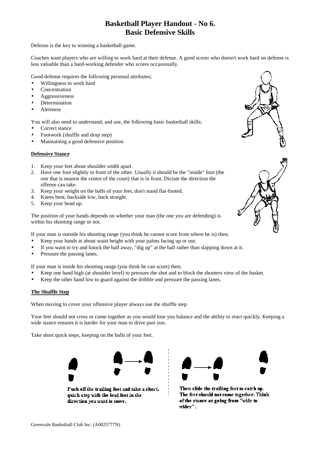## **Basketball Player Handout - No 6. Basic Defensive Skills**

<span id="page-7-0"></span>Defense is the key to winning a basketball game.

Coaches want players who are willing to work hard at their defense. A good scorer who doesn't work hard on defense is less valuable than a hard-working defender who scores occasionally.

Good defense requires the following personal attributes;

- Willingness to work hard
- **Concentration**
- Aggressiveness
- **Determination**
- **Alertness**

You will also need to understand, and use, the following basic basketball skills;

- Correct stance
- Footwork (shuffle and drop step)
- Maintaining a good defensive position

#### **Defensive Stance**

- 1. Keep your feet about shoulder width apart.
- 2. Have one foot slightly in front of the other. Usually it should be the "inside" foot (the one that is nearest the centre of the court) that is in front. Dictate the direction the offense can take.
- 3. Keep your weight on the balls of your feet, don't stand flat-footed.
- 4. Knees bent, backside low, back straight.
- 5. Keep your head up.

The position of your hands depends on whether your man (the one you are defending) is within his shooting range or not.

If your man is outside his shooting range (you think he cannot score from where he is) then;

- Keep your hands at about waist height with your palms facing up or out.
- If you want to try and knock the ball away, "dig up" at the ball rather than slapping down at it.
- Pressure the passing lanes.

If your man is inside his shooting range (you think he can score) then;

- Keep one hand high (at shoulder level) to pressure the shot and to block the shooters view of the basket.
- Keep the other hand low to guard against the dribble and pressure the passing lanes.

### **The Shuffle Step**

When moving to cover your offensive player always use the shuffle step.

Your feet should not cross or come together as you would lose you balance and the ability to react quickly. Keeping a wide stance ensures it is harder for your man to drive past you.

Take short quick steps, keeping on the balls of your feet.



Push off the trailing foot and take a short, quick step with the lead foot in the direction you want to move.



Then slide the trailing foot to catch up. The feet should not come together. Think of the stance as going from "wide to wider".



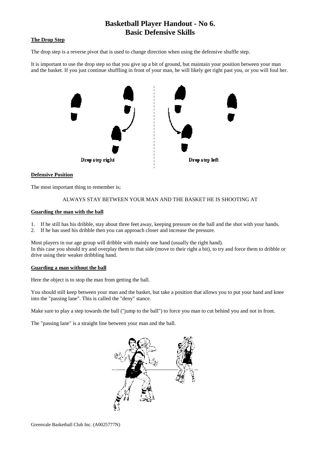## **Basketball Player Handout - No 6. Basic Defensive Skills**

### **The Drop Step**

The drop step is a reverse pivot that is used to change direction when using the defensive shuffle step.

It is important to use the drop step so that you give up a bit of ground, but maintain your position between your man and the basket. If you just continue shuffling in front of your man, he will likely get right past you, or you will foul her.



#### **Defensive Position**

The most important thing to remember is;

#### ALWAYS STAY BETWEEN YOUR MAN AND THE BASKET HE IS SHOOTING AT

#### **Guarding the man with the ball**

- 1. If he still has his dribble, stay about three feet away, keeping pressure on the ball and the shot with your hands.
- 2. If he has used his dribble then you can approach closer and increase the pressure.

Most players in our age group will dribble with mainly one hand (usually the right hand). In this case you should try and overplay them to that side (move to their right a bit), to try and force them to dribble or drive using their weaker dribbling hand.

#### **Guarding a man without the ball**

Here the object is to stop the man from getting the ball.

You should still keep between your man and the basket, but take a position that allows you to put your hand and knee into the "passing lane". This is called the "deny" stance.

Make sure to play a step towards the ball ("jump to the ball") to force you man to cut behind you and not in front.

The "passing lane" is a straight line between your man and the ball.

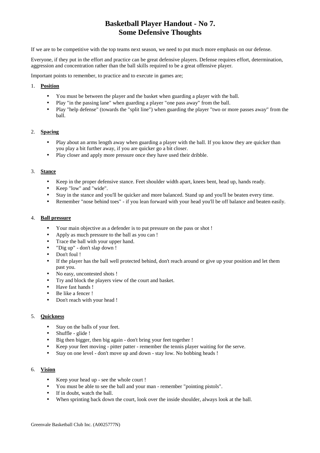# **Basketball Player Handout - No 7. Some Defensive Thoughts**

<span id="page-9-0"></span>If we are to be competitive with the top teams next season, we need to put much more emphasis on our defense.

Everyone, if they put in the effort and practice can be great defensive players. Defense requires effort, determination, aggression and concentration rather than the ball skills required to be a great offensive player.

Important points to remember, to practice and to execute in games are;

#### 1. **Position**

- You must be between the player and the basket when guarding a player with the ball.
- Play "in the passing lane" when guarding a player "one pass away" from the ball.
- Play "help defense" (towards the "split line") when guarding the player "two or more passes away" from the ball.

### 2. **Spacing**

- Play about an arms length away when guarding a player with the ball. If you know they are quicker than you play a bit further away, if you are quicker go a bit closer.
- Play closer and apply more pressure once they have used their dribble.

#### 3. **Stance**

- Keep in the proper defensive stance. Feet shoulder width apart, knees bent, head up, hands ready.
- Keep "low" and "wide".
- Stay in the stance and you'll be quicker and more balanced. Stand up and you'll be beaten every time.
- Remember "nose behind toes" if you lean forward with your head you'll be off balance and beaten easily.

#### 4. **Ball pressure**

- Your main objective as a defender is to put pressure on the pass or shot !
- Apply as much pressure to the ball as you can !
- Trace the ball with your upper hand.
- "Dig up" don't slap down !
- Don't foul !
- If the player has the ball well protected behind, don't reach around or give up your position and let them past you.
- No easy, uncontested shots !
- Try and block the players view of the court and basket.
- Have fast hands !
- Be like a fencer !
- Don't reach with your head !

### 5. **Quickness**

- Stay on the balls of your feet.
- Shuffle glide !
- Big then bigger, then big again don't bring your feet together !
- Keep your feet moving pitter patter remember the tennis player waiting for the serve.
- Stay on one level don't move up and down stay low. No bobbing heads !

### 6. **Vision**

- Keep your head up see the whole court !
- You must be able to see the ball and your man remember "pointing pistols".
- If in doubt, watch the ball.
- When sprinting back down the court, look over the inside shoulder, always look at the ball.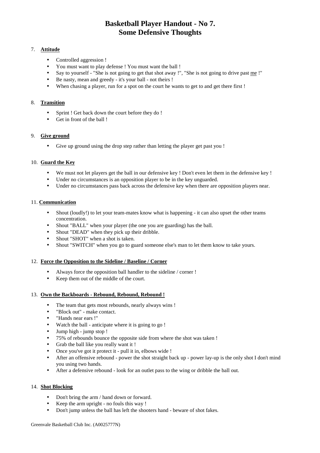# **Basketball Player Handout - No 7. Some Defensive Thoughts**

### 7. **Attitude**

- Controlled aggression !
- You must want to play defense ! You must want the ball !
- Say to yourself "She is not going to get that shot away !", "She is not going to drive past me !"
- Be nasty, mean and greedy it's your ball not theirs !
- When chasing a player, run for a spot on the court he wants to get to and get there first !

### 8. **Transition**

- Sprint ! Get back down the court before they do !
- Get in front of the ball!

### 9. **Give ground**

• Give up ground using the drop step rather than letting the player get past you !

## 10. **Guard the Key**

- We must not let players get the ball in our defensive key ! Don't even let them in the defensive key !
- Under no circumstances is an opposition player to be in the key unguarded.
- Under no circumstances pass back across the defensive key when there are opposition players near.

### 11. **Communication**

- Shout (loudly!) to let your team-mates know what is happening it can also upset the other teams concentration.
- Shout "BALL" when your player (the one you are guarding) has the ball.
- Shout "DEAD" when they pick up their dribble.
- Shout "SHOT" when a shot is taken.
- Shout "SWITCH" when you go to guard someone else's man to let them know to take yours.

### 12. **Force the Opposition to the Sideline / Baseline / Corner**

- Always force the opposition ball handler to the sideline / corner !
- Keep them out of the middle of the court.

### 13. **Own the Backboards - Rebound, Rebound, Rebound !**

- The team that gets most rebounds, nearly always wins !
- "Block out" make contact.
- "Hands near ears !"
- Watch the ball anticipate where it is going to go !
- Jump high jump stop !
- 75% of rebounds bounce the opposite side from where the shot was taken !
- Grab the ball like you really want it !
- Once you've got it protect it pull it in, elbows wide !
- After an offensive rebound power the shot straight back up power lay-up is the only shot I don't mind you using two hands.
- After a defensive rebound look for an outlet pass to the wing or dribble the ball out.

### 14. **Shot Blocking**

- Don't bring the arm / hand down or forward.
- Keep the arm upright no fouls this way !
- Don't jump unless the ball has left the shooters hand beware of shot fakes.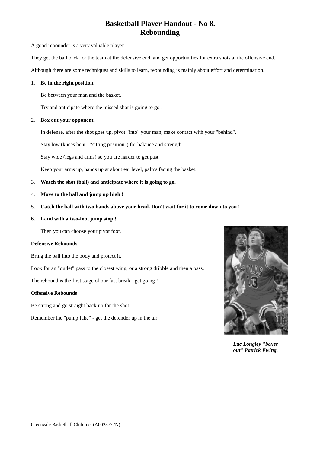# **Basketball Player Handout - No 8. Rebounding**

<span id="page-11-0"></span>A good rebounder is a very valuable player.

They get the ball back for the team at the defensive end, and get opportunities for extra shots at the offensive end.

Although there are some techniques and skills to learn, rebounding is mainly about effort and determination.

#### 1. **Be in the right position.**

Be between your man and the basket.

Try and anticipate where the missed shot is going to go !

#### 2. **Box out your opponent.**

In defense, after the shot goes up, pivot "into" your man, make contact with your "behind".

Stay low (knees bent - "sitting position") for balance and strength.

Stay wide (legs and arms) so you are harder to get past.

Keep your arms up, hands up at about ear level, palms facing the basket.

- 3. **Watch the shot (ball) and anticipate where it is going to go.**
- 4. **Move to the ball and jump up high !**
- 5. **Catch the ball with two hands above your head. Don't wait for it to come down to you !**
- 6. **Land with a two-foot jump stop !**

Then you can choose your pivot foot.

#### **Defensive Rebounds**

Bring the ball into the body and protect it.

Look for an "outlet" pass to the closest wing, or a strong dribble and then a pass.

The rebound is the first stage of our fast break - get going !

#### **Offensive Rebounds**

Be strong and go straight back up for the shot.

Remember the "pump fake" - get the defender up in the air.



*Luc Longley "boxes out" Patrick Ewing*.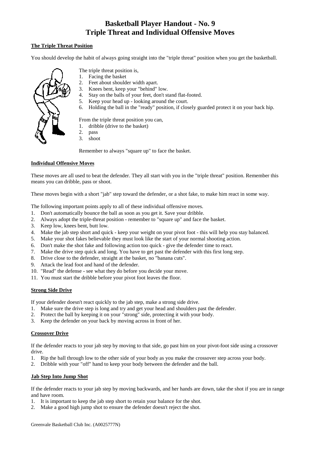# **Basketball Player Handout - No. 9 Triple Threat and Individual Offensive Moves**

### <span id="page-12-0"></span>**The Triple Threat Position**

You should develop the habit of always going straight into the "triple threat" position when you get the basketball.



- The triple threat position is,
- 1. Facing the basket
- 2. Feet about shoulder width apart.
- 3. Knees bent, keep your "behind" low.
- 4. Stay on the balls of your feet, don't stand flat-footed.
- 5. Keep your head up looking around the court.
- 6. Holding the ball in the "ready" position, if closely guarded protect it on your back hip.

From the triple threat position you can,

- 1. dribble (drive to the basket)
- 2. pass
- 3. shoot

Remember to always "square up" to face the basket.

## **Individual Offensive Moves**

These moves are all used to beat the defender. They all start with you in the "triple threat" position. Remember this means you can dribble, pass or shoot.

These moves begin with a short "jab" step toward the defender, or a shot fake, to make him react in some way.

The following important points apply to all of these individual offensive moves.

- 1. Don't automatically bounce the ball as soon as you get it. Save your dribble.
- 2. Always adopt the triple-threat position remember to "square up" and face the basket.
- 3. Keep low, knees bent, butt low.
- 4. Make the jab step short and quick keep your weight on your pivot foot this will help you stay balanced.
- 5. Make your shot fakes believable they must look like the start of your normal shooting action.
- 6. Don't make the shot fake and following action too quick give the defender time to react.
- 7. Make the drive step quick and long. You have to get past the defender with this first long step.
- 8. Drive close to the defender, straight at the basket, no "banana cuts".
- 9. Attack the lead foot and hand of the defender.
- 10. "Read" the defense see what they do before you decide your move.
- 11. You must start the dribble before your pivot foot leaves the floor.

### **Strong Side Drive**

If your defender doesn't react quickly to the jab step, make a strong side drive.

- 1. Make sure the drive step is long and try and get your head and shoulders past the defender.
- 2. Protect the ball by keeping it on your "strong" side, protecting it with your body.
- 3. Keep the defender on your back by moving across in front of her.

### **Crossover Drive**

If the defender reacts to your jab step by moving to that side, go past him on your pivot-foot side using a crossover drive.

- 1. Rip the ball through low to the other side of your body as you make the crossover step across your body.
- 2. Dribble with your "off" hand to keep your body between the defender and the ball.

### **Jab Step Into Jump Shot**

If the defender reacts to your jab step by moving backwards, and her hands are down, take the shot if you are in range and have room.

- 1. It is important to keep the jab step short to retain your balance for the shot.
- 2. Make a good high jump shot to ensure the defender doesn't reject the shot.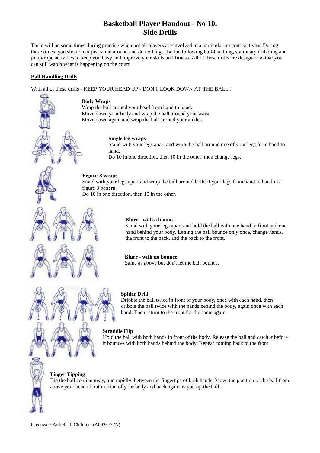# **Basketball Player Handout - No 10. Side Drills**

<span id="page-13-0"></span>There will be some times during practice when not all players are involved in a particular on-court activity. During these times, you should not just stand around and do nothing. Use the following ball-handling, stationary dribbling and jump-rope activities to keep you busy and improve your skills and fitness. All of these drills are designed so that you can still watch what is happening on the court.

#### **Ball Handling Drills**

With all of these drills - KEEP YOUR HEAD UP - DON'T LOOK DOWN AT THE BALL !

#### **Body Wraps**

Wrap the ball around your head from hand to hand. Move down your body and wrap the ball around your waist. Move down again and wrap the ball around your ankles.

#### **Single leg wraps**

Stand with your legs apart and wrap the ball around one of your legs from hand to hand.

Do 10 in one direction, then 10 in the other, then change legs.

#### **Figure-8 wraps**

Stand with your legs apart and wrap the ball around both of your legs from hand to hand in a figure 8 pattern.

Do 10 in one direction, then 10 in the other.

#### **Blurr - with a bounce**

Stand with your legs apart and hold the ball with one hand in front and one hand behind your body. Letting the ball bounce only once, change hands, the front to the back, and the back to the front.

#### **Blurr - with no bounce**

Same as above but don't let the ball bounce.



#### **Spider Drill**

Dribble the ball twice in front of your body, once with each hand, then dribble the ball twice with the hands behind the body, again once with each hand. Then return to the front for the same again.

#### **Straddle Flip**

Hold the ball with both hands in front of the body. Release the ball and catch it before it bounces with both hands behind the body. Repeat coming back to the front.

#### **Finger Tipping**

Tip the ball continuously, and rapidly, between the fingertips of both hands. Move the position of the ball from above your head to out in front of your body and back again as you tip the ball.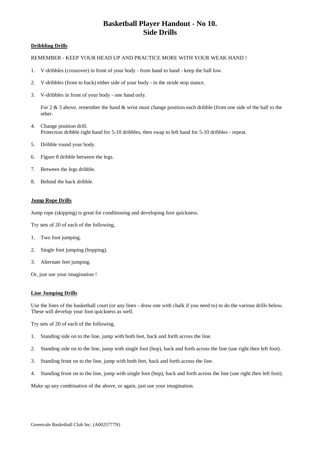# **Basketball Player Handout - No 10. Side Drills**

#### **Dribbling Drills**

#### REMEMBER - KEEP YOUR HEAD UP AND PRACTICE MORE WITH YOUR WEAK HAND !

- 1. V-dribbles (crossover) in front of your body from hand to hand keep the ball low.
- 2. V-dribbles (front to back) either side of your body in the stride stop stance.
- 3. V-dribbles in front of your body one hand only.

For 2 & 3 above, remember the hand & wrist must change position each dribble (from one side of the ball to the other.

- 4. Change position drill. Protection dribble right hand for 5-10 dribbles, then swap to left hand for 5-10 dribbles - repeat.
- 5. Dribble round your body.
- 6. Figure 8 dribble between the legs.
- 7. Between the legs dribble.
- 8. Behind the back dribble.

#### **Jump Rope Drills**

Jump rope (skipping) is great for conditioning and developing foot quickness.

Try sets of 20 of each of the following,

- 1. Two foot jumping.
- 2. Single foot jumping (hopping).
- 3. Alternate feet jumping.
- Or, just use your imagination !

#### **Line Jumping Drills**

Use the lines of the basketball court (or any lines - draw one with chalk if you need to) to do the various drills below. These will develop your foot quickness as well.

Try sets of 20 of each of the following.

- 1. Standing side on to the line, jump with both feet, back and forth across the line.
- 2. Standing side on to the line, jump with single foot (hop), back and forth across the line (use right then left foot).
- 3. Standing front on to the line, jump with both feet, back and forth across the line.
- 4. Standing front on to the line, jump with single foot (hop), back and forth across the line (use right then left foot).

Make up any combination of the above, or again, just use your imagination.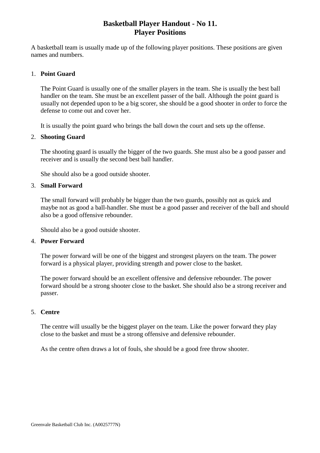## **Basketball Player Handout - No 11. Player Positions**

<span id="page-15-0"></span>A basketball team is usually made up of the following player positions. These positions are given names and numbers.

## 1. **Point Guard**

The Point Guard is usually one of the smaller players in the team. She is usually the best ball handler on the team. She must be an excellent passer of the ball. Although the point guard is usually not depended upon to be a big scorer, she should be a good shooter in order to force the defense to come out and cover her.

It is usually the point guard who brings the ball down the court and sets up the offense.

## 2. **Shooting Guard**

The shooting guard is usually the bigger of the two guards. She must also be a good passer and receiver and is usually the second best ball handler.

She should also be a good outside shooter.

## 3. **Small Forward**

The small forward will probably be bigger than the two guards, possibly not as quick and maybe not as good a ball-handler. She must be a good passer and receiver of the ball and should also be a good offensive rebounder.

Should also be a good outside shooter.

## 4. **Power Forward**

The power forward will be one of the biggest and strongest players on the team. The power forward is a physical player, providing strength and power close to the basket.

The power forward should be an excellent offensive and defensive rebounder. The power forward should be a strong shooter close to the basket. She should also be a strong receiver and passer.

## 5. **Centre**

The centre will usually be the biggest player on the team. Like the power forward they play close to the basket and must be a strong offensive and defensive rebounder.

As the centre often draws a lot of fouls, she should be a good free throw shooter.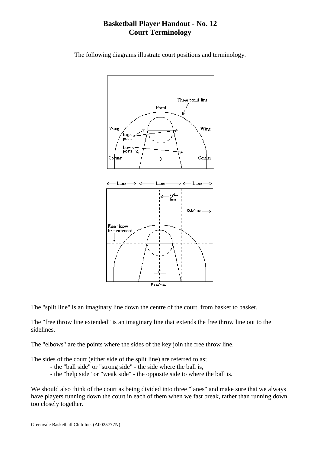# **Basketball Player Handout - No. 12 Court Terminology**



<span id="page-16-0"></span>The following diagrams illustrate court positions and terminology.

The "split line" is an imaginary line down the centre of the court, from basket to basket.

The "free throw line extended" is an imaginary line that extends the free throw line out to the sidelines.

The "elbows" are the points where the sides of the key join the free throw line.

The sides of the court (either side of the split line) are referred to as;

- the "ball side" or "strong side" the side where the ball is,
- the "help side" or "weak side" the opposite side to where the ball is.

We should also think of the court as being divided into three "lanes" and make sure that we always have players running down the court in each of them when we fast break, rather than running down too closely together.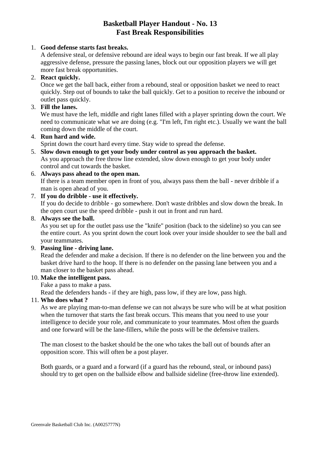# **Basketball Player Handout - No. 13 Fast Break Responsibilities**

## <span id="page-17-0"></span>1. **Good defense starts fast breaks.**

A defensive steal, or defensive rebound are ideal ways to begin our fast break. If we all play aggressive defense, pressure the passing lanes, block out our opposition players we will get more fast break opportunities.

## 2. **React quickly.**

Once we get the ball back, either from a rebound, steal or opposition basket we need to react quickly. Step out of bounds to take the ball quickly. Get to a position to receive the inbound or outlet pass quickly.

## 3. **Fill the lanes.**

We must have the left, middle and right lanes filled with a player sprinting down the court. We need to communicate what we are doing (e.g. "I'm left, I'm right etc.). Usually we want the ball coming down the middle of the court.

## 4. **Run hard and wide.**

Sprint down the court hard every time. Stay wide to spread the defense.

5. **Slow down enough to get your body under control as you approach the basket.** As you approach the free throw line extended, slow down enough to get your body under control and cut towards the basket.

## 6. **Always pass ahead to the open man.**

If there is a team member open in front of you, always pass them the ball - never dribble if a man is open ahead of you.

## 7. **If you do dribble - use it effectively.**

If you do decide to dribble - go somewhere. Don't waste dribbles and slow down the break. In the open court use the speed dribble - push it out in front and run hard.

## 8. **Always see the ball.**

As you set up for the outlet pass use the "knife" position (back to the sideline) so you can see the entire court. As you sprint down the court look over your inside shoulder to see the ball and your teammates.

## 9. **Passing line - driving lane.**

Read the defender and make a decision. If there is no defender on the line between you and the basket drive hard to the hoop. If there is no defender on the passing lane between you and a man closer to the basket pass ahead.

## 10. **Make the intelligent pass.**

Fake a pass to make a pass.

Read the defenders hands - if they are high, pass low, if they are low, pass high.

## 11. **Who does what ?**

As we are playing man-to-man defense we can not always be sure who will be at what position when the turnover that starts the fast break occurs. This means that you need to use your intelligence to decide your role, and communicate to your teammates. Most often the guards and one forward will be the lane-fillers, while the posts will be the defensive trailers.

The man closest to the basket should be the one who takes the ball out of bounds after an opposition score. This will often be a post player.

Both guards, or a guard and a forward (if a guard has the rebound, steal, or inbound pass) should try to get open on the ballside elbow and ballside sideline (free-throw line extended).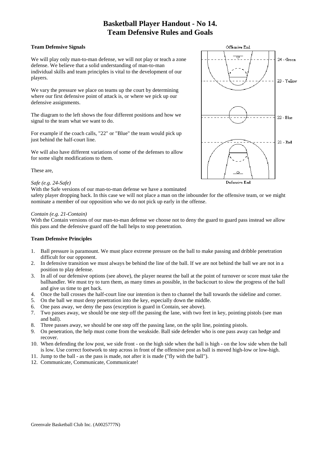# **Basketball Player Handout - No 14. Team Defensive Rules and Goals**

#### <span id="page-18-0"></span>**Team Defensive Signals**

We will play only man-to-man defense, we will not play or teach a zone defense. We believe that a solid understanding of man-to-man individual skills and team principles is vital to the development of our players.

We vary the pressure we place on teams up the court by determining where our first defensive point of attack is, or where we pick up our defensive assignments.

The diagram to the left shows the four different positions and how we signal to the team what we want to do.

For example if the coach calls, "22" or "Blue" the team would pick up just behind the half-court line.

We will also have different variations of some of the defenses to allow for some slight modifications to them.

These are,

#### *Safe (e.g. 24-Safe)*

With the Safe versions of our man-to-man defense we have a nominated

safety player dropping back. In this case we will not place a man on the inbounder for the offensive team, or we might nominate a member of our opposition who we do not pick up early in the offense.

#### *Contain (e.g. 21-Contain)*

With the Contain versions of our man-to-man defense we choose not to deny the guard to guard pass instead we allow this pass and the defensive guard off the ball helps to stop penetration.

### **Team Defensive Principles**

- 1. Ball pressure is paramount. We must place extreme pressure on the ball to make passing and dribble penetration difficult for our opponent.
- 2. In defensive transition we must always be behind the line of the ball. If we are not behind the ball we are not in a position to play defense.
- 3. In all of our defensive options (see above), the player nearest the ball at the point of turnover or score must take the ballhandler. We must try to turn them, as many times as possible, in the backcourt to slow the progress of the ball and give us time to get back.
- 4. Once the ball crosses the half-court line our intention is then to channel the ball towards the sideline and corner.
- 5. On the ball we must deny penetration into the key, especially down the middle.
- 6. One pass away, we deny the pass (exception is guard in Contain, see above).
- 7. Two passes away, we should be one step off the passing the lane, with two feet in key, pointing pistols (see man and ball).
- 8. Three passes away, we should be one step off the passing lane, on the split line, pointing pistols.
- 9. On penetration, the help must come from the weakside. Ball side defender who is one pass away can hedge and recover.
- 10. When defending the low post, we side front on the high side when the ball is high on the low side when the ball is low. Use correct footwork to step across in front of the offensive post as ball is moved high-low or low-high.
- 11. Jump to the ball as the pass is made, not after it is made ("fly with the ball").
- 12. Communicate, Communicate, Communicate!

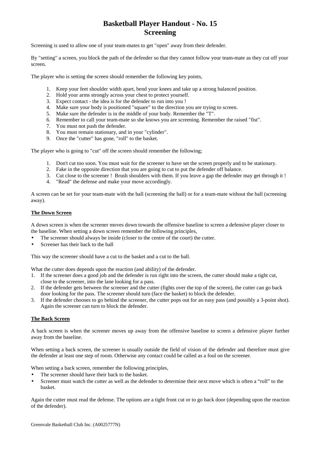# **Basketball Player Handout - No. 15 Screening**

<span id="page-19-0"></span>Screening is used to allow one of your team-mates to get "open" away from their defender.

By "setting" a screen, you block the path of the defender so that they cannot follow your team-mate as they cut off your screen.

The player who is setting the screen should remember the following key points,

- 1. Keep your feet shoulder width apart, bend your knees and take up a strong balanced position.
- 2. Hold your arms strongly across your chest to protect yourself.
- 3. Expect contact the idea is for the defender to run into you !
- 4. Make sure your body is positioned "square" to the direction you are trying to screen.
- 5. Make sure the defender is in the middle of your body. Remember the "T".
- 6. Remember to call your team-mate so she knows you are screening. Remember the raised "fist".
- 7. You must not push the defender.
- 8. You must remain stationary, and in your "cylinder".
- 9. Once the "cutter" has gone, "roll" to the basket.

The player who is going to "cut" off the screen should remember the following;

- 1. Don't cut too soon. You must wait for the screener to have set the screen properly and to be stationary.
- 2. Fake in the opposite direction that you are going to cut to put the defender off balance.
- 3. Cut close to the screener ! Brush shoulders with them. If you leave a gap the defender may get through it !
- 4. "Read" the defense and make your move accordingly.

A screen can be set for your team-mate with the ball (screening the ball) or for a team-mate without the ball (screening away).

#### **The Down Screen**

A down screen is when the screener moves down towards the offensive baseline to screen a defensive player closer to the baseline. When setting a down screen remember the following principles,

- The screener should always be inside (closer to the centre of the court) the cutter.
- Screener has their back to the ball

This way the screener should have a cut to the basket and a cut to the ball.

What the cutter does depends upon the reaction (and ability) of the defender.

- 1. If the screener does a good job and the defender is run right into the screen, the cutter should make a tight cut, close to the screener, into the lane looking for a pass.
- 2. If the defender gets between the screener and the cutter (fights over the top of the screen), the cutter can go back door looking for the pass. The screener should turn (face the basket) to block the defender.
- 3. If the defender chooses to go behind the screener, the cutter pops out for an easy pass (and possibly a 3-point shot). Again the screener can turn to block the defender.

#### **The Back Screen**

A back screen is when the screener moves up away from the offensive baseline to screen a defensive player further away from the baseline.

When setting a back screen, the screener is usually outside the field of vision of the defender and therefore must give the defender at least one step of room. Otherwise any contact could be called as a foul on the screener.

When setting a back screen, remember the following principles,

- The screener should have their back to the basket.
- Screener must watch the cutter as well as the defender to determine their next move which is often a "roll" to the basket.

Again the cutter must read the defense. The options are a tight front cut or to go back door (depending upon the reaction of the defender).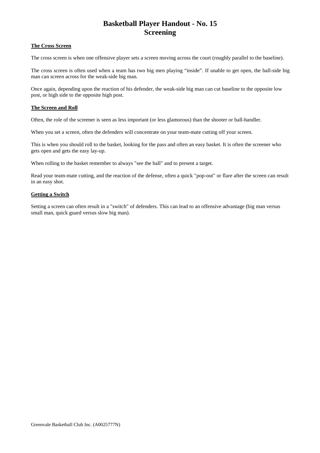# **Basketball Player Handout - No. 15 Screening**

#### **The Cross Screen**

The cross screen is when one offensive player sets a screen moving across the court (roughly parallel to the baseline).

The cross screen is often used when a team has two big men playing "inside". If unable to get open, the ball-side big man can screen across for the weak-side big man.

Once again, depending upon the reaction of his defender, the weak-side big man can cut baseline to the opposite low post, or high side to the opposite high post.

#### **The Screen and Roll**

Often, the role of the screener is seen as less important (or less glamorous) than the shooter or ball-handler.

When you set a screen, often the defenders will concentrate on your team-mate cutting off your screen.

This is when you should roll to the basket, looking for the pass and often an easy basket. It is often the screener who gets open and gets the easy lay-up.

When rolling to the basket remember to always "see the ball" and to present a target.

Read your team-mate cutting, and the reaction of the defense, often a quick "pop-out" or flare after the screen can result in an easy shot.

#### **Getting a Switch**

Setting a screen can often result in a "switch" of defenders. This can lead to an offensive advantage (big man versus small man, quick guard versus slow big man).